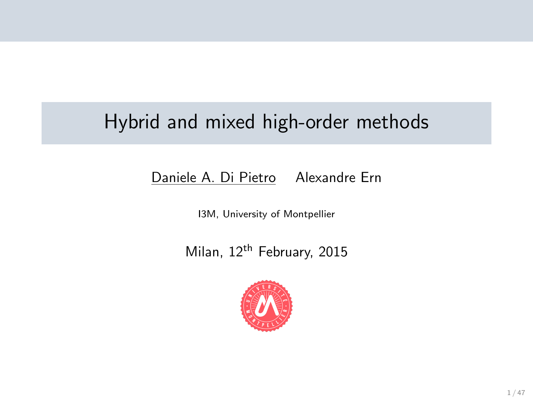## Hybrid and mixed high-order methods

#### Daniele A. Di Pietro Alexandre Ern

I3M, University of Montpellier

Milan, 12<sup>th</sup> February, 2015

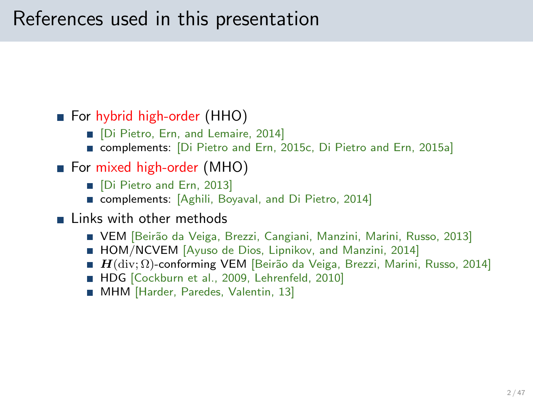## References used in this presentation

#### ■ For hybrid high-order (HHO)

- **Di Pietro, Ern, and Lemaire, 2014]**
- complements: [\[Di Pietro and Ern, 2015c,](#page-46-0) [Di Pietro and Ern, 2015a\]](#page-45-0)
- For mixed high-order (MHO)
	- **Di Pietro and Ern, 2013**
	- complements: [Aghili, Boyaval, and Di Pietro, 2014]
- **Links with other methods** 
	- VEM [Beirão da Veiga, Brezzi, Cangiani, Manzini, Marini, Russo, 2013]
	- HOM/NCVEM [Ayuso de Dios, Lipnikov, and Manzini, 2014]
	- **H** (div;  $\Omega$ )-conforming VEM [Beirão da Veiga, Brezzi, Marini, Russo, 2014]
	- HDG [\[Cockburn et al., 2009,](#page-45-2) [Lehrenfeld, 2010\]](#page-46-1)
	- **MHM [Harder, Paredes, Valentin, 13]**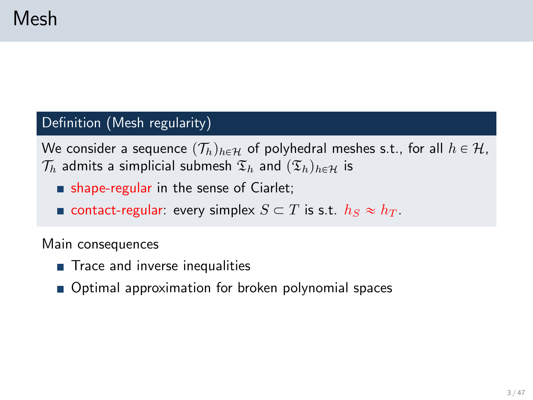#### Definition (Mesh regularity)

We consider a sequence  $(\mathcal{T}_h)_{h \in \mathcal{H}}$  of polyhedral meshes s.t., for all  $h \in \mathcal{H}$ ,  $\mathcal{T}_h$  admits a simplicial submesh  $\mathfrak{T}_h$  and  $(\mathfrak{T}_h)_{h\in\mathcal{H}}$  is

- **shape-regular in the sense of Ciarlet;**
- **contact-regular:** every simplex  $S \subset T$  is s.t.  $h_S \approx h_T$ .

Main consequences

- Trace and inverse inequalities
- Optimal approximation for broken polynomial spaces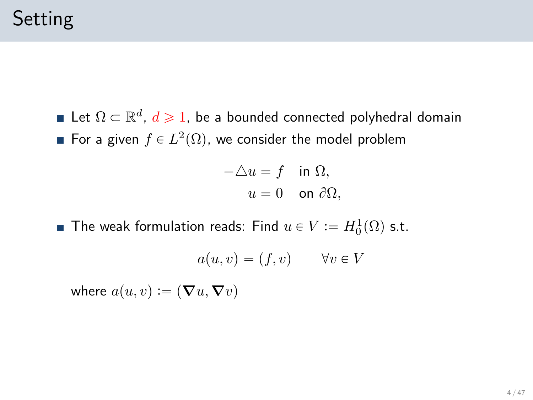Let  $\Omega \subset \mathbb{R}^d$ ,  $d \geqslant 1$ , be a bounded connected polyhedral domain For a given  $f \in L^2(\Omega)$ , we consider the model problem

$$
-\triangle u = f \quad \text{in } \Omega,
$$
  

$$
u = 0 \quad \text{on } \partial\Omega,
$$

The weak formulation reads: Find  $u \in V := H^1_0(\Omega)$  s.t.

$$
a(u, v) = (f, v) \qquad \forall v \in V
$$

where  $a(u, v) := (\nabla u, \nabla v)$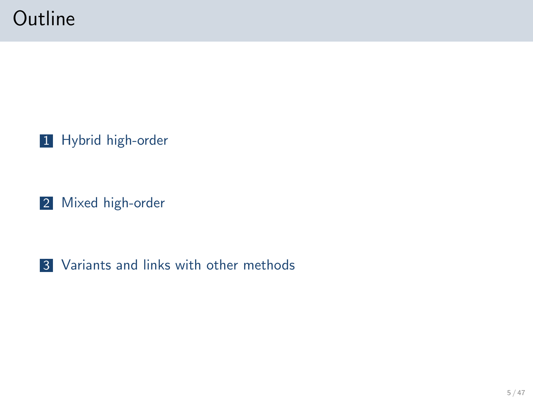## **Outline**

1 [Hybrid high-order](#page-5-0)

2 [Mixed high-order](#page-25-0)

3 [Variants and links with other methods](#page-38-0)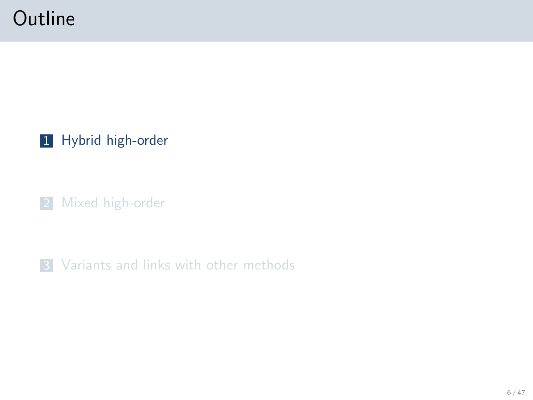# **Outline**

1 [Hybrid high-order](#page-5-0)

2 [Mixed high-order](#page-25-0)

<span id="page-5-0"></span>**3** [Variants and links with other methods](#page-38-0)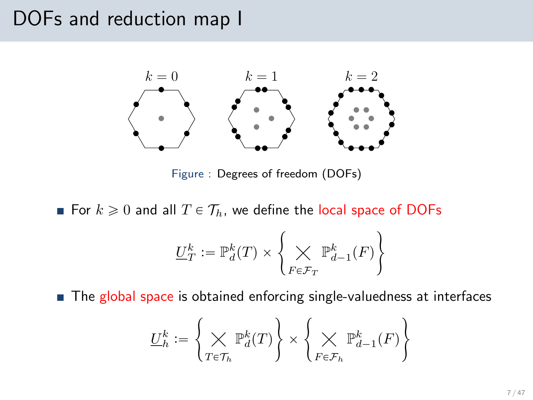#### DOFs and reduction map I



Figure : Degrees of freedom (DOFs)

For  $k \geqslant 0$  and all  $T \in \mathcal{T}_h$ , we define the local space of DOFs

$$
\underline{U}_T^k := \mathbb{P}^k_d(T) \times \left\{ \bigtimes_{F \in \mathcal{F}_T} \mathbb{P}^k_{d-1}(F) \right\}
$$

■ The global space is obtained enforcing single-valuedness at interfaces

$$
\underline{U}_h^k := \left\{ \bigtimes_{T \in \mathcal{T}_h} \mathbb{P}^k_d(T) \right\} \times \left\{ \bigtimes_{F \in \mathcal{F}_h} \mathbb{P}^k_{d-1}(F) \right\}
$$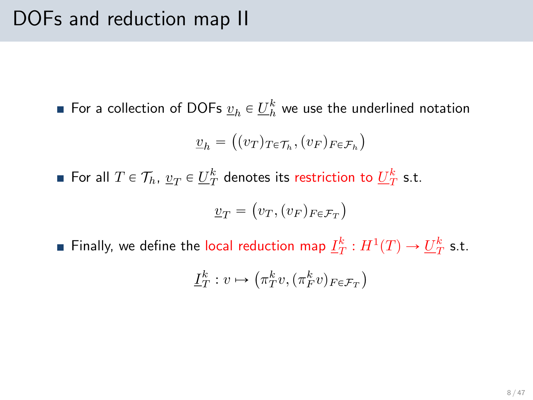For a collection of DOFs  $\underline{v}_h \in \underline{U}_h^k$  we use the underlined notation

$$
\underline{v}_h = \big((v_T)_{T \in \mathcal{T}_h}, (v_F)_{F \in \mathcal{F}_h}\big)
$$

For all  $T \in \mathcal{T}_h$ ,  $\underline{v}_T \in \underline{U}_T^k$  denotes its restriction to  $\underline{U}_T^k$  s.t.

$$
\underline{v}_T = (v_T, (v_F)_{F \in \mathcal{F}_T})
$$

Finally, we define the local reduction map  $\underline{I}_T^k:H^1(T)\rightarrow \underline{U}_T^k$  s.t.

$$
\underline{I}_T^k : v \mapsto (\pi_T^k v, (\pi_F^k v)_{F \in \mathcal{F}_T})
$$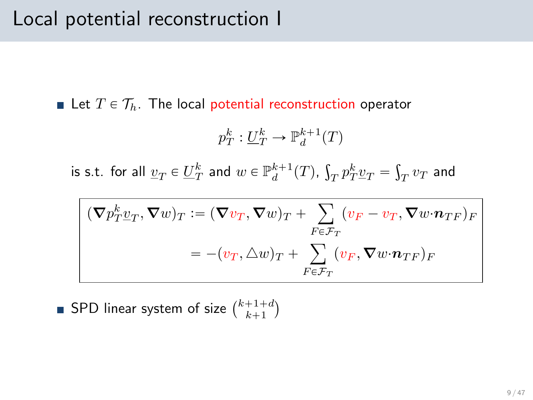Let  $T \in \mathcal{T}_h$ . The local potential reconstruction operator

$$
p_T^k: \underline{U}_T^k \to \mathbb{P}_d^{k+1}(T)
$$

is s.t. for all  $\underline{v}_T \in \underline{U}_T^k$  and  $w \in \mathbb{P}_d^{k+1}(T)$ , ş  $T p_T^k v_T =$ ş  $\frac{1}{T}v_T$  and

$$
(\nabla p_T^k \underline{v}_T, \nabla w)_T := (\nabla v_T, \nabla w)_T + \sum_{F \in \mathcal{F}_T} (v_F - v_T, \nabla w \cdot \mathbf{n}_{TF})_F
$$
  
=  $-(v_T, \triangle w)_T + \sum_{F \in \mathcal{F}_T} (v_F, \nabla w \cdot \mathbf{n}_{TF})_F$ 

SPD linear system of size  $\binom{k+1+d}{k+1}$ Ŭ.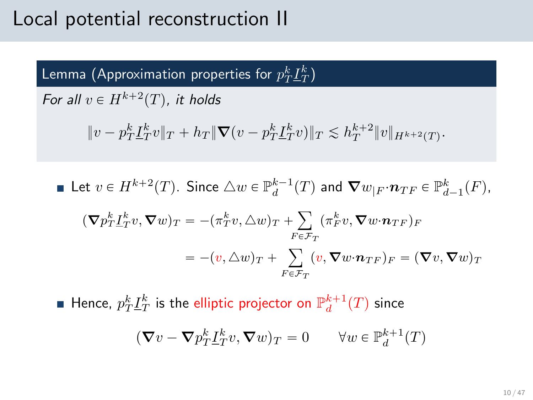#### Local potential reconstruction II

Lemma (Approximation properties for  $p_T^k \underline{I}_T^k)$ 

For all  $v \in H^{k+2}(T)$ , it holds

$$
||v - p_T^k \underline{I}_T^k v||_T + h_T ||\nabla (v - p_T^k \underline{I}_T^k v)||_T \lesssim h_T^{k+2} ||v||_{H^{k+2}(T)}.
$$

**Let** 
$$
v \in H^{k+2}(T)
$$
. Since  $\triangle w \in \mathbb{P}_d^{k-1}(T)$  and  $\nabla w_{|F} \cdot n_{TF} \in \mathbb{P}_{d-1}^k(F)$ ,  
\n
$$
(\nabla p_T^k \underline{I}_T^k v, \nabla w)_T = -(\pi_T^k v, \triangle w)_T + \sum_{F \in \mathcal{F}_T} (\pi_F^k v, \nabla w \cdot n_{TF})_F
$$
\n
$$
= -(v, \triangle w)_T + \sum_{F \in \mathcal{F}_T} (v, \nabla w \cdot n_{TF})_F = (\nabla v, \nabla w)_T
$$

Hence,  $p_T^k \underline{I}_T^k$  is the elliptic projector on  $\mathbb{P}_d^{k+1}(T)$  since

$$
(\nabla v - \nabla p_T^k \underline{I}_T^k v, \nabla w)_T = 0 \qquad \forall w \in \mathbb{P}_d^{k+1}(T)
$$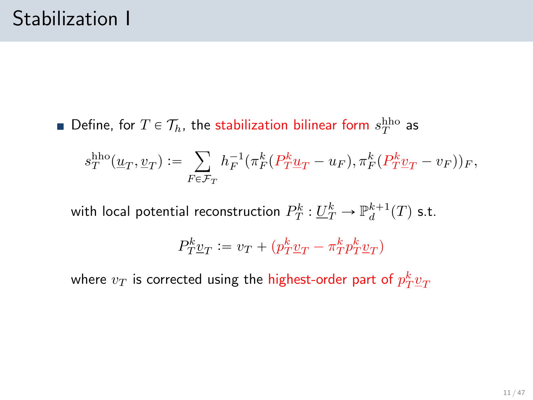Define, for  $T \in \mathcal{T}_h$ , the stabilization bilinear form  $s_T^{\text{hho}}$  as

$$
s_T^{\text{hho}}(\underline{u}_T, \underline{v}_T) := \sum_{F \in \mathcal{F}_T} h_F^{-1}(\pi_F^k(P_T^k \underline{u}_T - u_F), \pi_F^k(P_T^k \underline{v}_T - v_F))_F,
$$

with local potential reconstruction  $P^k_T: \underline{U}^k_T \to \mathbb{P}^{k+1}_d(T)$  s.t.

$$
P^k_T \underline{v}_T := v_T + (p^k_T \underline{v}_T - \pi^k_T p^k_T \underline{v}_T)
$$

where  $v_T$  is corrected using the highest-order part of  $p_T^k \underline{v}_T$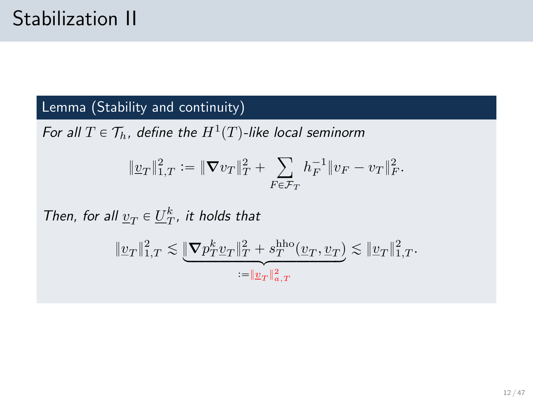#### Lemma (Stability and continuity)

For all  $T \in \mathcal{T}_h$ , define the  $H^1(T)$ -like local seminorm

$$
\|\underline{v}_T\|_{1,T}^2 := \|\nabla v_T\|_T^2 + \sum_{F \in \mathcal{F}_T} h_F^{-1} \|v_F - v_T\|_F^2.
$$

Then, for all  $\underline{v}_T \in \underline{U}_T^k$ , it holds that

$$
\|\underline{v}_T\|_{1,T}^2\lesssim \underbrace{\|\boldsymbol{\nabla} p_T^k \underline{v}_T\|_T^2 + s_T^{\text{hho}}(\underline{v}_T,\underline{v}_T)}_{:=\|\underline{v}_T\|_{a,T}^2}\lesssim \|\underline{v}_T\|_{1,T}^2.
$$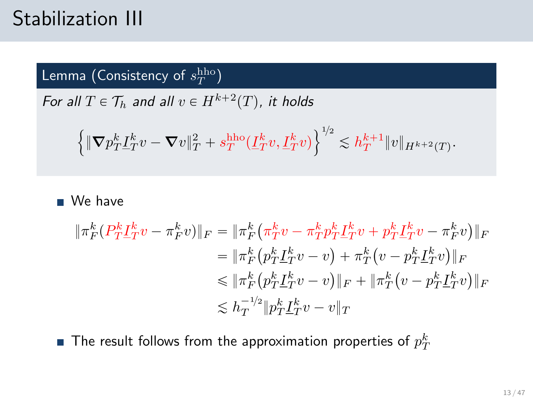## Stabilization III

Lemma (Consistency of  $s_T^{\rm hho})$ 

For all  $T \in \mathcal{T}_h$  and all  $v \in H^{k+2}(T)$ , it holds

$$
\Big\{\|\boldsymbol{\nabla} p_T^k \underline{I}_T^k v - \boldsymbol{\nabla} v\|_T^2 + s_T^{\rm hho}(\underline{I}_T^k v, \underline{I}_T^k v)\Big\}^{\textbf{1}/2} \lesssim h_T^{k+1} \|v\|_{H^{k+2}(T)}.
$$

■ We have

$$
\begin{aligned}\n\|\pi_F^k (P_T^k \underline{I}_T^k v - \pi_F^k v)\|_F &= \|\pi_F^k \left(\pi_T^k v - \pi_T^k p_T^k \underline{I}_T^k v + p_T^k \underline{I}_T^k v - \pi_F^k v\right)\|_F \\
&= \|\pi_F^k \left(p_T^k \underline{I}_T^k v - v\right) + \pi_T^k \left(v - p_T^k \underline{I}_T^k v\right)\|_F \\
&\le \|\pi_F^k \left(p_T^k \underline{I}_T^k v - v\right)\|_F + \|\pi_T^k \left(v - p_T^k \underline{I}_T^k v\right)\|_F \\
&\le h_T^{-1/2} \|p_T^k \underline{I}_T^k v - v\|_T\n\end{aligned}
$$

The result follows from the approximation properties of  $p_T^k$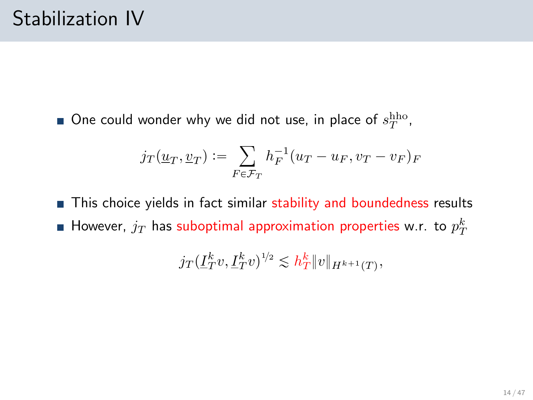One could wonder why we did not use, in place of  $s_T^{\text{hho}}$ ,

$$
j_T(\underline{u}_T, \underline{v}_T) := \sum_{F \in \mathcal{F}_T} h_F^{-1}(u_T - u_F, v_T - v_F)_F
$$

This choice yields in fact similar stability and boundedness results However,  $j_T$  has suboptimal approximation properties w.r. to  $p_T^k$ 

$$
j_T(\underline{I}_T^k v, \underline{I}_T^k v)^{1/2} \lesssim h_T^k \|v\|_{H^{k+1}(T)},
$$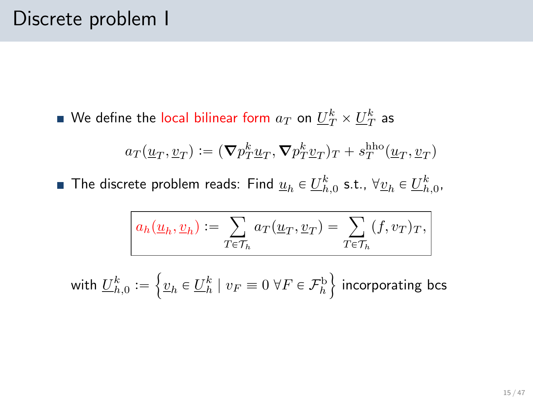We define the local bilinear form  $a_T$  on  $\underline{U}_T^k\times\underline{U}_T^k$  as

$$
a_T(\underline{u}_T, \underline{v}_T) := (\nabla p_T^k \underline{u}_T, \nabla p_T^k \underline{v}_T)_T + s_T^{\text{hho}}(\underline{u}_T, \underline{v}_T)
$$

The discrete problem reads: Find  $\underline{u}_h\in \underline{U}_{h,0}^k$  s.t.,  $\forall \underline{v}_h\in \underline{U}_{h,0}^k,$ 

$$
a_h(\underline{u}_h, \underline{v}_h) := \sum_{T \in \mathcal{T}_h} a_T(\underline{u}_T, \underline{v}_T) = \sum_{T \in \mathcal{T}_h} (f, v_T)_T,
$$

with  $\underline{U}_{h,0}^k:=\left\{\underline{v}_h\in \underline{U}_h^k\mid v_F\equiv 0\;\forall F\in\mathcal{F}_h^{\rm b}\right\}$  incorporating bcs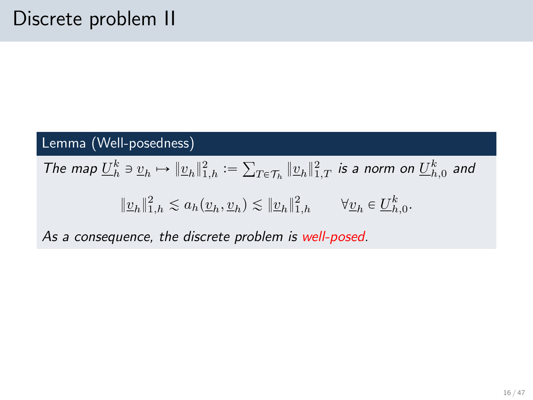#### Lemma (Well-posedness)

The map  $\underline{U}_h^k \ni \underline{v}_h \mapsto \|\underline{v}_h\|_{1,h}^2 :=$ ř  $_{T\in\mathcal{T}_h}\|\underline{v}_h\|_{1,T}^2$  is a norm on  $\underline{U}_{h,0}^k$  and  $||\underline{v}_h||_{1,h}^2 \lesssim a_h(\underline{v}_h, \underline{v}_h) \lesssim ||\underline{v}_h||_{1,h}^2 \qquad \forall \underline{v}_h \in \underline{U}_{h,0}^k.$ 

As a consequence, the discrete problem is well-posed.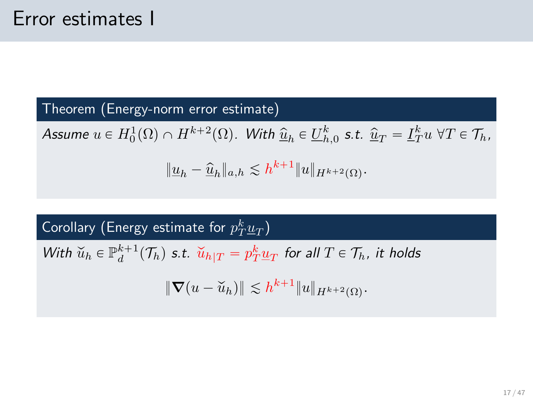Theorem (Energy-norm error estimate)

Assume  $u \in H_0^1(\Omega) \cap H^{k+2}(\Omega)$ . With  $\widehat{\underline{u}}_h \in \underline{U}_{h,0}^k$  s.t.  $\widehat{\underline{u}}_T = \underline{I}_T^k u \,\,\forall T \in \mathcal{T}_h$ ,  $||\underline{u}_h - \hat{\underline{u}}_h||_{a,h} \lesssim h^{k+1}||u||_{H^{k+2}(\Omega)}.$ 

Corollary (Energy estimate for  $p_T^k \underline{u}_T)$ 

With  $\check{u}_h \in \mathbb{P}_d^{k+1}(\mathcal{T}_h)$  s.t.  $\check{u}_h|_T = p_T^k \underline{u}_T$  for all  $T \in \mathcal{T}_h$ , it holds

 $\|\nabla(u - \breve{u}_h)\| \lesssim h^{k+1} \|u\|_{H^{k+2}(\Omega)}.$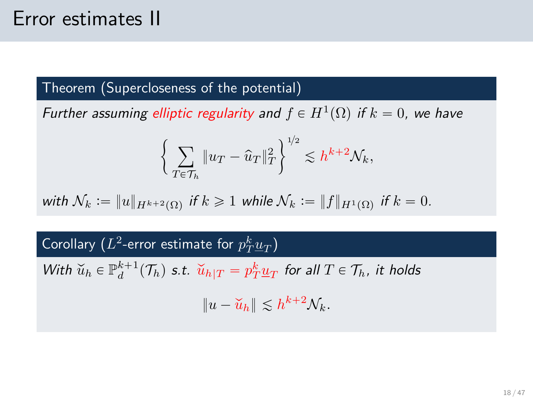#### Error estimates II

#### Theorem (Supercloseness of the potential)

Further assuming elliptic regularity and  $f \in H^1(\Omega)$  if  $k = 0$ , we have

$$
\bigg\{\sum_{T\in\mathcal{T}_h}\|u_T-\widehat{u}_T\|_T^2\bigg\}^{\scriptscriptstyle{1\!}/2}\lesssim h^{k+2}\mathcal{N}_k,
$$

with  $\mathcal{N}_k := \|u\|_{H^{k+2}(\Omega)}$  if  $k \geqslant 1$  while  $\mathcal{N}_k := \|f\|_{H^1(\Omega)}$  if  $k = 0$ .

## Corollary  $(L^2\text{-error estimate}$  for  $p_T^k\underline{u}_T)$

With  $\check{u}_h \in \mathbb{P}_d^{k+1}(\mathcal{T}_h)$  s.t.  $\check{u}_h|_T = p_T^k \underline{u}_T$  for all  $T \in \mathcal{T}_h$ , it holds

 $||u - \widetilde{u}_h|| \lesssim h^{k+2} \mathcal{N}_k.$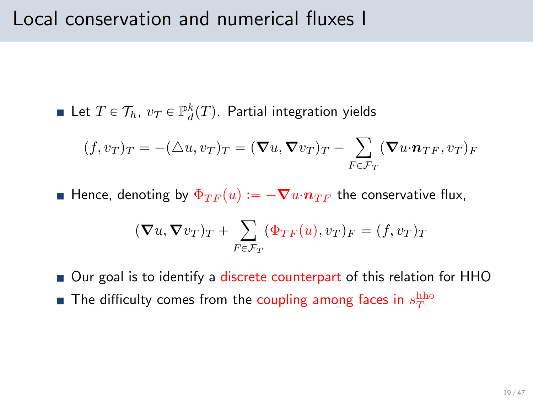#### Local conservation and numerical fluxes I

Let  $T \in \mathcal{T}_h$ ,  $v_T \in \mathbb{P}^k_d(T)$ . Partial integration yields

$$
(f, v_T)_T = -(\triangle u, v_T)_T = (\nabla u, \nabla v_T)_T - \sum_{F \in \mathcal{F}_T} (\nabla u \cdot \mathbf{n}_{TF}, v_T)_F
$$

Hence, denoting by  $\Phi_{TF}(u) := -\nabla u \cdot n_{TF}$  the conservative flux,

$$
(\nabla u, \nabla v_T)_T + \sum_{F \in \mathcal{F}_T} (\Phi_{TF}(u), v_T)_F = (f, v_T)_T
$$

■ Our goal is to identify a discrete counterpart of this relation for HHO

The difficulty comes from the coupling among faces in  $s_T^{\rm hho}$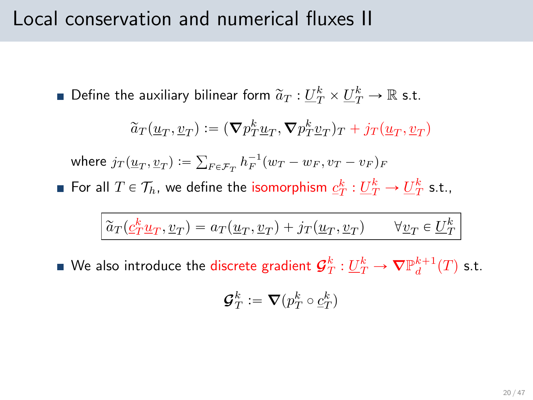#### Local conservation and numerical fluxes II

Define the auxiliary bilinear form  $\widetilde a_T : \underline{U}_T^k \times \underline{U}_T^k \to \mathbb{R}$  s.t.

$$
\widetilde a_T(\underline u_T,\underline v_T):=(\boldsymbol{\nabla} p_T^k\underline u_T,\boldsymbol{\nabla} p_T^k\underline v_T)_T+j_T(\underline u_T,\underline v_T)
$$

where  $j_T(\underline{u}_T, \underline{v}_T) :=$ ř  $F \in \mathcal{F}_T h_F^{-1}(w_T - w_F, v_T - v_F)_F$ 

For all  $T \in \mathcal{T}_h$ , we define the isomorphism  $\underline{c}_T^k : \underline{U}_T^k \to \underline{U}_T^k$  s.t.,

$$
\widetilde{a}_T(\underline{\mathcal{C}}_T^k \underline{u}_T, \underline{v}_T) = a_T(\underline{u}_T, \underline{v}_T) + j_T(\underline{u}_T, \underline{v}_T) \qquad \forall \underline{v}_T \in \underline{U}_T^k
$$

We also introduce the discrete gradient  ${\mathcal G}_T^k:\underline{U}_T^k\to \boldsymbol{\nabla} \mathbb{P}^{k+1}_d(T)$  s.t.

$$
{\boldsymbol{\mathcal G}}_T^k:=\boldsymbol\nabla(p_T^k\circ\underline c_T^k)
$$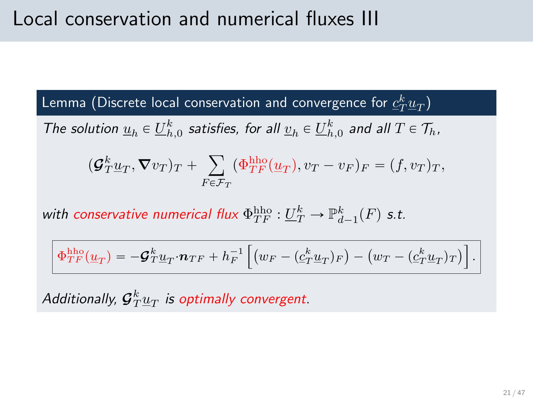Lemma (Discrete local conservation and convergence for  $\c{c}_T^k \underline{u}_T)$ 

The solution  $\underline{u}_h \in \underline{U}_{h,0}^k$  satisfies, for all  $\underline{v}_h \in \underline{U}_{h,0}^k$  and all  $T \in \mathcal{T}_h$ ,

$$
(\mathcal{G}_T^k \underline{u}_T, \nabla v_T)_T + \sum_{F \in \mathcal{F}_T} (\Phi_{TF}^{\text{hho}}(\underline{u}_T), v_T - v_F)_F = (f, v_T)_T,
$$

with conservative numerical flux  $\Phi^{\rm hho}_{TF} : \underline{U}^k_T \to \mathbb{P}^k_{d-1}(F)$  s.t.

$$
\Phi^{\text{hho}}_{TF}(\underline{u}_T) = -\mathbf{\mathcal{G}}_T^k \underline{u}_T \cdot \mathbf{n}_{TF} + h_F^{-1} \left[ \left( w_F - (\underline{c}_T^k \underline{u}_T)_F \right) - \left( w_T - (\underline{c}_T^k \underline{u}_T)_T \right) \right].
$$

Additionally,  ${\cal G}^k_T \underline{u}_T$  is optimally convergent.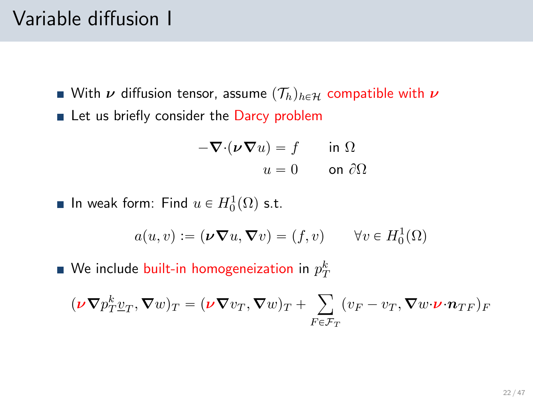### Variable diffusion I

- With  $\nu$  diffusion tensor, assume  $(\mathcal{T}_h)_{h\in\mathcal{H}}$  compatible with  $\nu$
- Let us briefly consider the Darcy problem

$$
-\nabla \cdot (\nu \nabla u) = f \quad \text{in } \Omega
$$

$$
u = 0 \quad \text{on } \partial \Omega
$$

In weak form: Find  $u \in H_0^1(\Omega)$  s.t.

$$
a(u, v) := (\nu \nabla u, \nabla v) = (f, v) \qquad \forall v \in H_0^1(\Omega)
$$

We include built-in homogeneization in  $p_{T}^{k}$ 

$$
(\nu \nabla p_T^k \underline{v}_T, \nabla w)_T = (\nu \nabla v_T, \nabla w)_T + \sum_{F \in \mathcal{F}_T} (v_F - v_T, \nabla w \cdot \nu \cdot n_{TF})_F
$$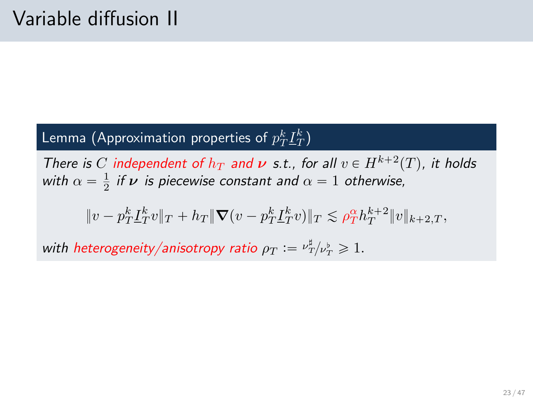#### Lemma (Approximation properties of  $p_T^k \underline{I}_T^k)$

There is C independent of  $h_T$  and  $\nu$  s.t., for all  $v \in H^{k+2}(T)$ , it holds with  $\alpha = \frac{1}{2}$  if  $\boldsymbol{\nu}$  is piecewise constant and  $\alpha = 1$  otherwise,

$$
\|v - p_T^k \underline{I}_T^k v\|_T + h_T\|\boldsymbol{\nabla}(v - p_T^k \underline{I}_T^k v)\|_T \lesssim \rho_T^{\alpha} h_T^{k+2} \|v\|_{k+2,T},
$$

with heterogeneity/anisotropy ratio  $\rho_T := \nu_T^{\sharp}/\nu_T^{\flat} \geqslant 1.$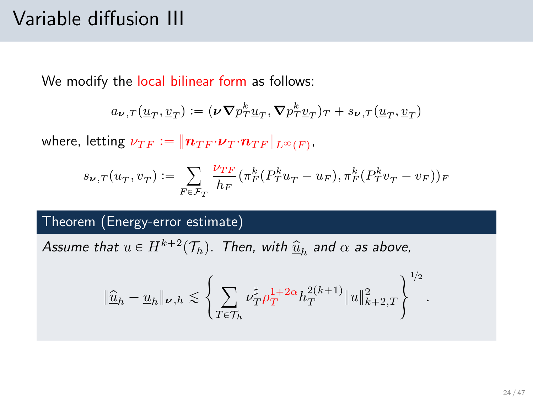## Variable diffusion III

We modify the local bilinear form as follows:

$$
a_{\nu,T}(\underline{u}_T,\underline{v}_T):=(\nu \nabla p_T^k \underline{u}_T, \nabla p_T^k \underline{v}_T)_T + s_{\nu,T}(\underline{u}_T,\underline{v}_T)
$$

where, letting  $\nu_{TF} \vcentcolon= \| \boldsymbol{n}_{TF} {\cdot} \boldsymbol{\nu}_T{\cdot} \boldsymbol{n}_{TF} \|_{L^\infty(F)}.$ 

$$
s_{\nu,T}(\underline{u}_T,\underline{v}_T):=\sum_{F\in\mathcal{F}_T}\frac{\nu_{TF}}{h_F}(\pi_F^k(P_T^k\underline{u}_T-u_F),\pi_F^k(P_T^k\underline{v}_T-v_F))_F
$$

#### Theorem (Energy-error estimate)

Assume that  $u \in H^{k+2}(\mathcal{T}_h)$ . Then, with  $\widehat{\underline{u}}_h$  and  $\alpha$  as above,

$$
\|\widehat{\underline{u}}_h-\underline{u}_h\|_{\nu,h}\lesssim \left\{\sum_{T\in\mathcal{T}_h} \nu_T^\sharp \rho_T^{1+2\alpha} h_T^{2(k+1)} \|u\|_{k+2,T}^2\right\}^{1/2}
$$

.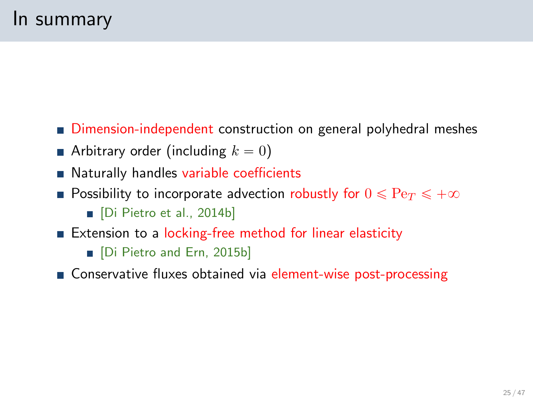- Dimension-independent construction on general polyhedral meshes
- Arbitrary order (including  $k = 0$ )
- Naturally handles variable coefficients
- **Possibility to incorporate advection robustly for**  $0 \leqslant Pe_T \leqslant +\infty$ Di Pietro et al., 2014b]
- Extension to a locking-free method for linear elasticity
	- Di Pietro and Ern, 2015b]
- Conservative fluxes obtained via element-wise post-processing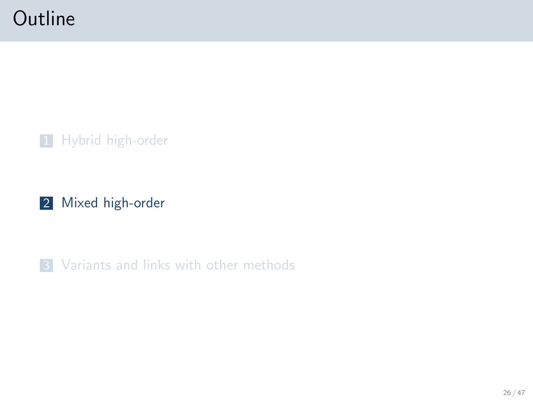## **Outline**

1 [Hybrid high-order](#page-5-0)

2 [Mixed high-order](#page-25-0)

<span id="page-25-0"></span>**3** [Variants and links with other methods](#page-38-0)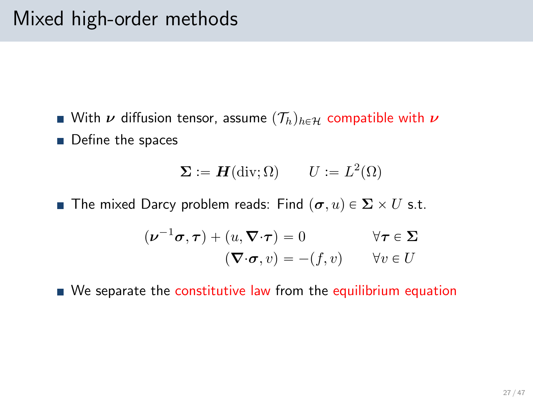With  $\nu$  diffusion tensor, assume  $(\mathcal{T}_h)_{h\in\mathcal{H}}$  compatible with  $\nu$ Define the spaces

$$
\Sigma := H(\operatorname{div}; \Omega) \qquad U := L^2(\Omega)
$$

**The mixed Darcy problem reads: Find**  $(\sigma, u) \in \Sigma \times U$  **s.t.** 

$$
(\nu^{-1}\sigma,\tau) + (u,\nabla \cdot \tau) = 0 \qquad \forall \tau \in \Sigma
$$

$$
(\nabla \cdot \sigma, v) = -(f, v) \qquad \forall v \in U
$$

 $\blacksquare$  We separate the constitutive law from the equilibrium equation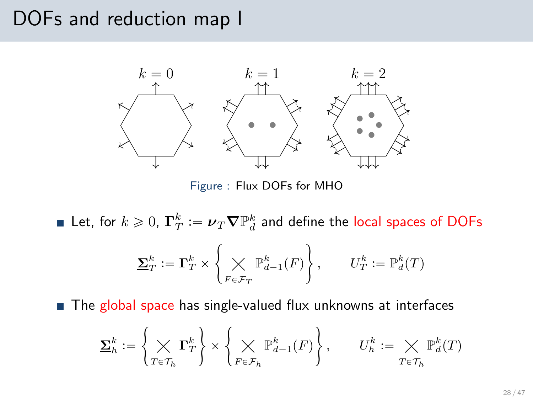#### DOFs and reduction map I



Figure : Flux DOFs for MHO

Let, for  $k\geqslant 0$ ,  $\mathbf{\Gamma}^k_T:=\boldsymbol{\nu}_T \boldsymbol{\nabla}\mathbb{P}^k_d$  and define the local spaces of DOFs  $\mathbf{\Sigma}_T^k \vcentcolon = \mathbf{\Gamma}_T^k \times$  $\sqrt{ }$  $F \in \mathcal{F}_T$  $\mathbb{P}^k_{d-1}(F) \Big\} \, , \qquad U_T^k \mathrel{\mathop:}= \mathbb{P}^k_d(T)$  $\mathbf{r}$ 

The global space has single-valued flux unknowns at interfaces

$$
\underline{\Sigma}_h^k := \left\{ \bigtimes_{T \in \mathcal{T}_h} \Gamma_T^k \right\} \times \left\{ \bigtimes_{F \in \mathcal{F}_h} \mathbb{P}^k_{d-1}(F) \right\}, \qquad U_h^k := \bigtimes_{T \in \mathcal{T}_h} \mathbb{P}^k_d(T)
$$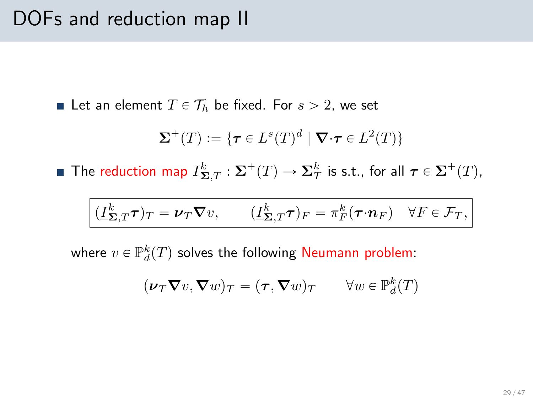#### DOFs and reduction map II

Let an element  $T \in \mathcal{T}_h$  be fixed. For  $s > 2$ , we set

$$
\Sigma^{+}(T) := \{ \tau \in L^{s}(T)^{d} \mid \nabla \cdot \tau \in L^{2}(T) \}
$$

The reduction map  $\underline{I}^k_{\boldsymbol{\Sigma},T}:\boldsymbol{\Sigma}^+(T)\to \underline{\boldsymbol{\Sigma}}^k_T$  is s.t., for all  $\boldsymbol{\tau}\in \boldsymbol{\Sigma}^+(T)$ ,

$$
(\underline{I}_{\Sigma,T}^k \tau)_T = \nu_T \nabla v, \qquad (\underline{I}_{\Sigma,T}^k \tau)_F = \pi_F^k (\tau \cdot n_F) \quad \forall F \in \mathcal{F}_T,
$$

where  $v \in \mathbb{P}^k_d(T)$  solves the following Neumann problem:

$$
(\nu_T \boldsymbol{\nabla} v, \boldsymbol{\nabla} w)_T = (\boldsymbol{\tau}, \boldsymbol{\nabla} w)_T \qquad \forall w \in \mathbb{P}^k_d(T)
$$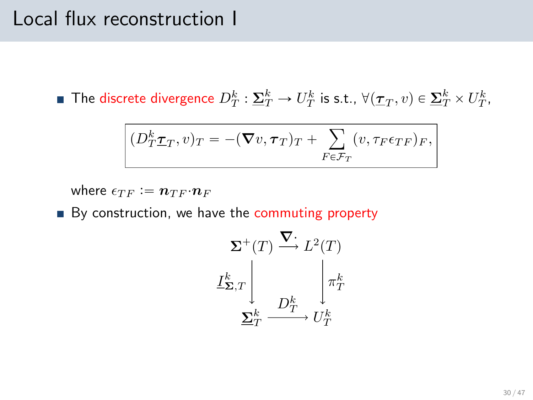#### Local flux reconstruction I

The discrete divergence  $D_T^k:\underline{\Sigma}_T^k\to U_T^k$  is s.t.,  $\forall (\underline{\tau}_T,v)\in \underline{\Sigma}_T^k\times U_T^k,$ 

$$
(D_T^k \underline{\tau}_T, v)_T = -(\nabla v, \tau_T)_T + \sum_{F \in \mathcal{F}_T} (v, \tau_F \epsilon_{TF})_F,
$$

where  $\epsilon_{TF} := n_{TF} \cdot n_F$ 

By construction, we have the commuting property

$$
\Sigma^{+}(T) \xrightarrow{\nabla^{+}} L^{2}(T)
$$

$$
I_{\Sigma,T}^{k} \Bigg|_{\nabla^{k}_{T}} \qquad \qquad \downarrow \pi_{T}^{k}
$$

$$
\Sigma^{k}_{T} \xrightarrow{D_{T}^{k}} U_{T}^{k}
$$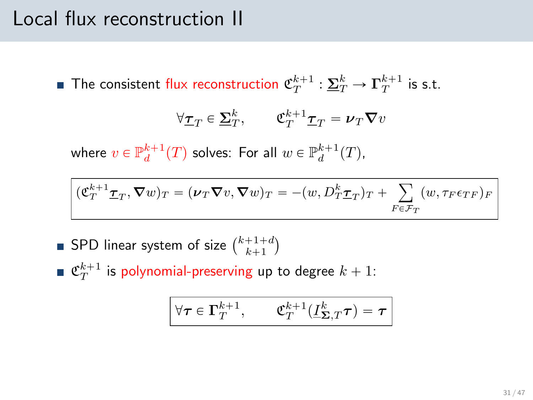### Local flux reconstruction II

The consistent flux reconstruction  $\mathfrak{C}_T^{k+1} : \underline{\Sigma}_T^k \to \Gamma_T^{k+1}$  is s.t.

$$
\forall \underline{\tau}_T \in \underline{\Sigma}_T^k, \qquad \underline{\mathfrak{C}}_T^{k+1} \underline{\tau}_T = \nu_T \nabla v
$$

where  $v \in \mathbb{P}_d^{k+1}(T)$  solves: For all  $w \in \mathbb{P}_d^{k+1}(T)$ ,

$$
(\mathfrak{C}_T^{k+1} \mathbf{I}_T, \nabla w)_T = (\boldsymbol{\nu}_T \nabla v, \nabla w)_T = -(w, D_T^k \mathbf{I}_T)_T + \sum_{F \in \mathcal{F}_T} (w, \tau_F \epsilon_{TF})_F
$$

- SPD linear system of size  $\binom{k+1+d}{k+1}$
- $\mathfrak{C}_T^{k+1}$  is polynomial-preserving up to degree  $k+1$ :

$$
\forall \pmb{\tau} \in \pmb{\Gamma}_T^{k+1}, \qquad \mathfrak{C}^{k+1}_T(\underline{I}^k_{\pmb{\Sigma},T}\pmb{\tau}) = \pmb{\tau}
$$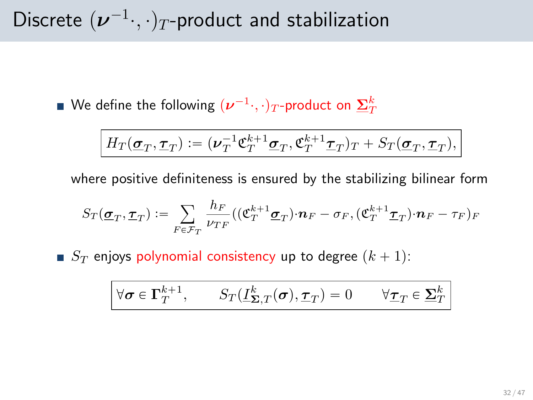Discrete  $(\boldsymbol{\nu}^{-1} \cdot, \cdot)_T$ -product and stabilization

We define the following  $(\boldsymbol{\nu}^{-1} \cdot, \cdot)_T$ -product on  $\mathbf{\underline{\Sigma}}_T^k$ 

$$
H_T(\underline{\pmb{\sigma}}_T, \underline{\pmb{\tau}}_T) := (\pmb{\nu}_T^{-1} \pmb{\mathfrak{C}}_T^{k+1} \underline{\pmb{\sigma}}_T, \pmb{\mathfrak{C}}_T^{k+1} \underline{\pmb{\tau}}_T)_T + S_T(\underline{\pmb{\sigma}}_T, \underline{\pmb{\tau}}_T),
$$

where positive definiteness is ensured by the stabilizing bilinear form

$$
S_T(\underline{\boldsymbol{\sigma}}_T,\underline{\boldsymbol{\tau}}_T):=\sum_{F\in\mathcal{F}_T}\frac{h_F}{\nu_{TF}}((\mathfrak{C}^{k+1}_T\underline{\boldsymbol{\sigma}}_T)\cdot\boldsymbol{n}_F-\sigma_F,(\mathfrak{C}^{k+1}_T\underline{\boldsymbol{\tau}}_T)\cdot\boldsymbol{n}_F-\tau_F)_F
$$

 $S_T$  enjoys polynomial consistency up to degree  $(k + 1)$ :

$$
\forall \pmb{\sigma} \in \pmb{\Gamma}_T^{k+1}, \qquad S_T(\underline{I}^k_{\pmb{\Sigma},T}(\pmb{\sigma}),\underline{\pmb{\tau}}_T) = 0 \qquad \forall \underline{\pmb{\tau}}_T \in \underline{\pmb{\Sigma}}_T^k
$$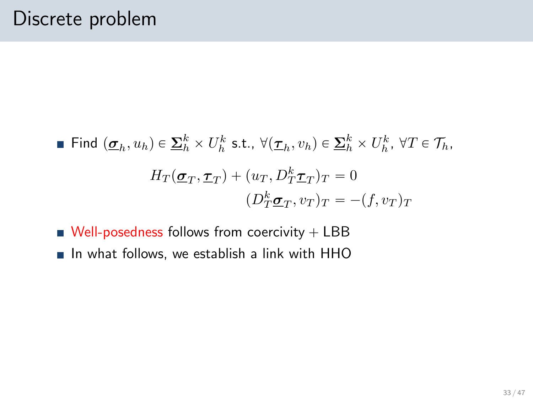■ Find 
$$
(\underline{\sigma}_h, u_h) \in \underline{\Sigma}_h^k \times U_h^k
$$
 s.t.,  $\forall (\underline{\tau}_h, v_h) \in \underline{\Sigma}_h^k \times U_h^k$ ,  $\forall T \in \mathcal{T}_h$ ,  

$$
H_T(\underline{\sigma}_T, \underline{\tau}_T) + (u_T, D_T^k \underline{\tau}_T)_T = 0
$$

$$
(D_T^k \underline{\sigma}_T, v_T)_T = -(f, v_T)_T
$$

- $\blacksquare$  Well-posedness follows from coercivity  $+$  LBB
- $\blacksquare$  In what follows, we establish a link with HHO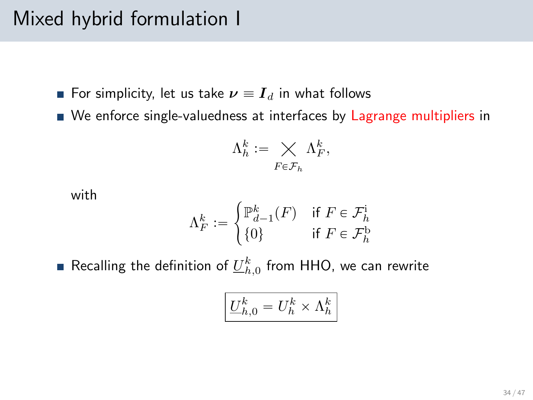## Mixed hybrid formulation I

- For simplicity, let us take  $\nu \equiv I_d$  in what follows
- We enforce single-valuedness at interfaces by Lagrange multipliers in

$$
\Lambda_h^k := \bigtimes_{F \in \mathcal{F}_h} \Lambda_F^k,
$$

with

$$
\Lambda_F^k := \begin{cases} \mathbb{P}^k_{d-1}(F) & \text{if } F \in \mathcal{F}^{\mathrm{i}}_h \\ \{0\} & \text{if } F \in \mathcal{F}^{\mathrm{b}}_h \end{cases}
$$

Recalling the definition of  $\underline{U}_{h,0}^k$  from HHO, we can rewrite

$$
\underline{U}_{h,0}^k=U_h^k\times \Lambda_h^k
$$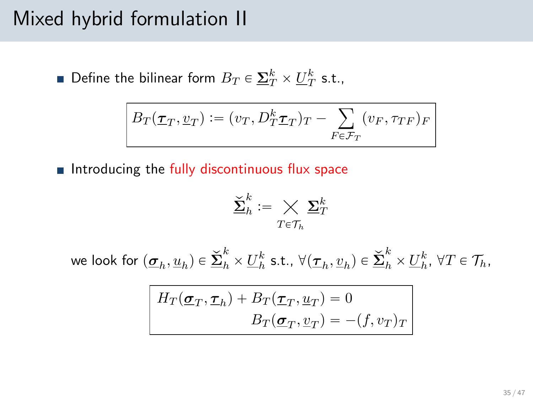#### Mixed hybrid formulation II

Define the bilinear form  $B_T \in \underline{\Sigma}_T^k \times \underline{U}_T^k$  s.t.,

$$
B_T(\underline{\tau}_T, \underline{v}_T) := (v_T, D_T^k \underline{\tau}_T)_T - \sum_{F \in \mathcal{F}_T} (v_F, \tau_{TF})_F
$$

Introducing the fully discontinuous flux space

$$
\check{\underline{\mathbf{\Sigma}}}^k_h \mathrel{\mathop:}= \bigtimes_{T \in \mathcal{T}_h} \underline{\mathbf{\Sigma}}^k_T
$$

we look for  $(\underline{\sigma}_h, \underline{u}_h) \in \underline{\check{\Sigma}}_h^k \times \underline{U}_h^k$  s.t.,  $\forall (\underline{\tau}_h, \underline{v}_h) \in \underline{\check{\Sigma}}_h^k \times \underline{U}_h^k$ ,  $\forall T \in \mathcal{T}_h$ ,

$$
H_T(\underline{\sigma}_T, \underline{\tau}_h) + B_T(\underline{\tau}_T, \underline{u}_T) = 0
$$
  

$$
B_T(\underline{\sigma}_T, \underline{v}_T) = -(f, v_T)_T
$$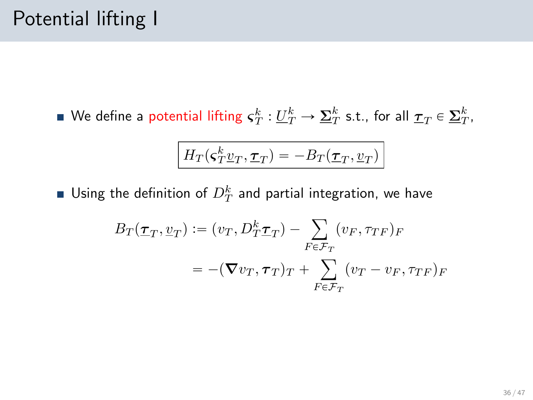We define a potential lifting  $\bm{\varsigma}_T^k:\underline{U}_T^k\to \underline{\bm{\Sigma}}_T^k$  s.t., for all  $\underline{\bm{\tau}}_T\in \underline{\bm{\Sigma}}_T^k,$ 

$$
H_T(\boldsymbol{\varsigma}_T^k\underline{v}_T,\underline{\boldsymbol{\tau}}_T)=-B_T(\underline{\boldsymbol{\tau}}_T,\underline{v}_T)
$$

Using the definition of  $D_T^k$  and partial integration, we have

$$
B_T(\underline{\tau}_T, \underline{v}_T) := (v_T, D_T^k \underline{\tau}_T) - \sum_{F \in \mathcal{F}_T} (v_F, \tau_{TF})_F
$$
  
= -(\nabla v\_T, \tau\_T)\_T + \sum\_{F \in \mathcal{F}\_T} (v\_T - v\_F, \tau\_{TF})\_F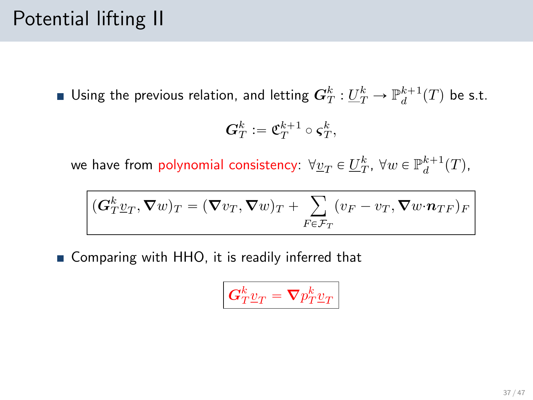# Potential lifting II

Using the previous relation, and letting  $\bm{G}_T^k:\underline{U}_T^k\to \mathbb{P}_d^{k+1}(T)$  be s.t.

$$
\boldsymbol{G}_T^k \mathrel{\mathop:}= \mathfrak{C}_T^{k+1} \circ \boldsymbol{\varsigma}_T^k,
$$

we have from polynomial consistency:  $\forall \underline{v}_T \in \underline{U}_T^k$ ,  $\forall w \in \mathbb{P}^{k+1}_d(T)$ ,

$$
(\boldsymbol{G}_{T}^{k}\underline{v}_{T},\boldsymbol{\nabla} w)_{T}=(\boldsymbol{\nabla} v_{T},\boldsymbol{\nabla} w)_{T}+\sum_{F\in\mathcal{F}_{T}}(v_{F}-v_{T},\boldsymbol{\nabla} w\cdot\boldsymbol{n}_{TF})_{F}
$$

■ Comparing with HHO, it is readily inferred that

$$
\bm{G}_T^k \underline{v}_T = \bm{\nabla} p_T^k \underline{v}_T
$$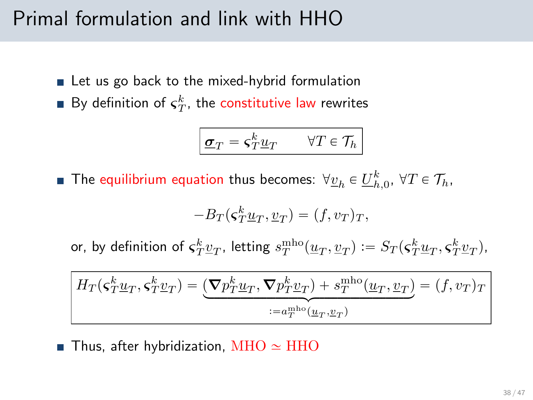### Primal formulation and link with HHO

- Let us go back to the mixed-hybrid formulation
- By definition of  $\varsigma_T^k$ , the constitutive law rewrites

$$
\boxed{\underline{\sigma}_T = \varsigma_T^k \underline{u}_T \qquad \forall T \in \mathcal{T}_h}
$$

The equilibrium equation thus becomes:  $\forall \underline{v}_h \in \underline{U}_{h,0}^k$ ,  $\forall T \in \mathcal{T}_h$ ,

$$
-B_T(\varsigma_T^k \underline{u}_T, \underline{v}_T) = (f, v_T)_T,
$$

or, by definition of  $\varsigma_T^k \underline{v}_T$ , letting  $s_T^{\text{mho}}(\underline{u}_T,\underline{v}_T) \vcentcolon= S_T(\varsigma_T^k \underline{u}_T,\varsigma_T^k \underline{v}_T)$ ,

$$
H_T(\boldsymbol{\varsigma}_T^k \underline{u}_T, \boldsymbol{\varsigma}_T^k \underline{v}_T) = \underbrace{(\boldsymbol{\nabla} p_T^k \underline{u}_T, \boldsymbol{\nabla} p_T^k \underline{v}_T) + s_T^{\text{mho}}(\underline{u}_T, \underline{v}_T)}_{:=a_T^{\text{mho}}(\underline{u}_T, \underline{v}_T)} = (f, v_T)_T
$$

**Thus, after hybridization, MHO**  $\simeq$  **HHO**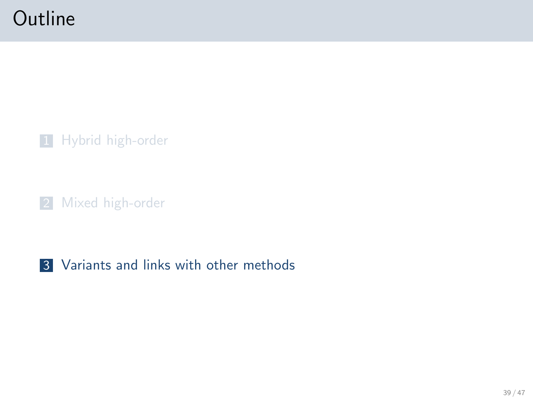## **Outline**

1 [Hybrid high-order](#page-5-0)

2 [Mixed high-order](#page-25-0)

#### <span id="page-38-0"></span>3 [Variants and links with other methods](#page-38-0)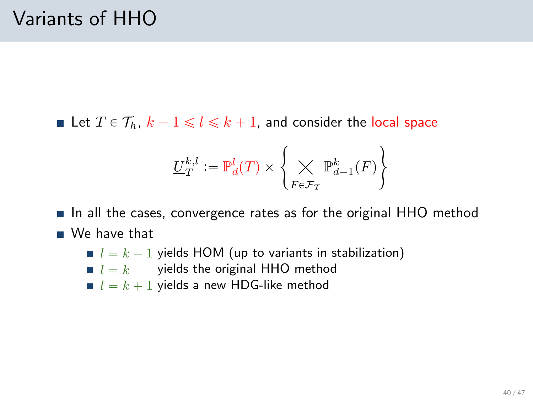Let  $T \in \mathcal{T}_h$ ,  $k - 1 \leq l \leq k + 1$ , and consider the local space

$$
\underline{U}_T^{k,l}:=\mathbb{P}^l_d(T)\times \left\{\bigtimes\limits_{F\in\mathcal{F}_T}\mathbb{P}^k_{d-1}(F)\right\}
$$

In all the cases, convergence rates as for the original HHO method

- We have that
	- $\blacksquare$   $l = k 1$  yields HOM (up to variants in stabilization)
	- $\blacksquare$   $l = k$  yields the original HHO method
	- $l = k + 1$  yields a new HDG-like method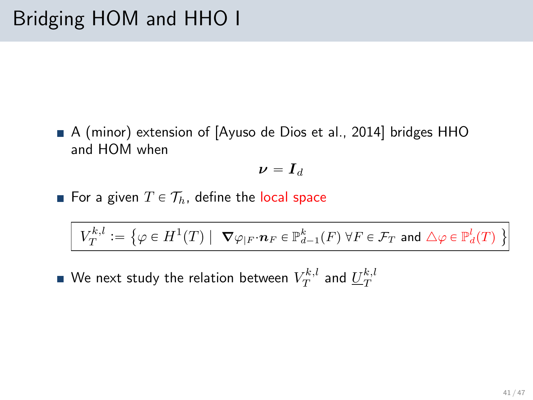A (minor) extension of [\[Ayuso de Dios et al., 2014\]](#page-45-3) bridges HHO and HOM when

$$
\bm{\nu} = \bm{I}_d
$$

For a given  $T \in \mathcal{T}_h$ , define the local space

$$
V_T^{k,l} := \left\{ \varphi \in H^1(T) \mid \ \nabla \varphi_{|F} \cdot \mathbf{n}_F \in \mathbb{P}^k_{d-1}(F) \ \forall F \in \mathcal{F}_T \text{ and } \triangle \varphi \in \mathbb{P}^l_d(T) \ \right\}
$$

We next study the relation between  $V^{k,l}_T$  and  $\underline{U}^{k,l}_T$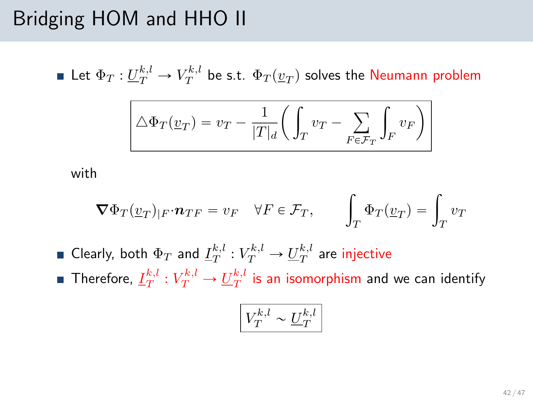## Bridging HOM and HHO II

Let  $\Phi_T: \underline{U}_T^{k,l} \to V_T^{k,l}$  be s.t.  $\Phi_T(\underline{v}_T)$  solves the Neumann problem

$$
\boxed{\triangle \Phi_T(v_T) = v_T - \frac{1}{|T|_d} \left( \int_T v_T - \sum_{F \in \mathcal{F}_T} \int_F v_F \right)}
$$

with

$$
\nabla \Phi_T(\underline{v}_T)_{|F} \cdot \mathbf{n}_{TF} = v_F \quad \forall F \in \mathcal{F}_T, \qquad \int_T \Phi_T(\underline{v}_T) = \int_T v_T
$$

Clearly, both  $\Phi_T$  and  $\underline{I}_T^{k,l}: V_T^{k,l} \to \underline{U}_T^{k,l}$  are injective Therefore,  $\underline{I}_T^{k,l}: V_T^{k,l} \to \underline{U}_T^{k,l}$  is an isomorphism and we can identify

$$
\boxed{V_T^{k,l}\sim \underline{U}_T^{k,l}}
$$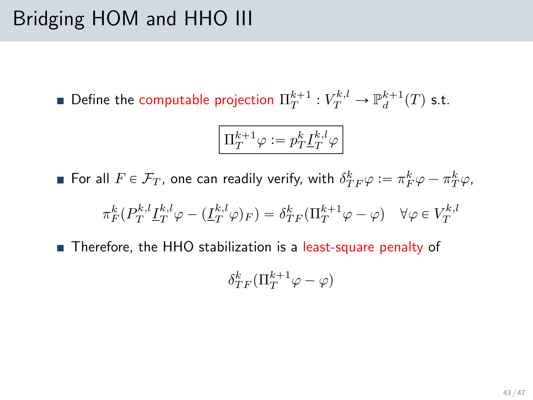# Bridging HOM and HHO III

Define the computable projection  $\Pi_T^{k+1} : V_T^{k,l} \to \mathbb{P}_d^{k+1}(T)$  s.t.

$$
\boxed{\Pi_T^{k+1}\varphi:=p_T^k\underline{I}_T^{k,l}\varphi}
$$

For all  $F \in \mathcal{F}_T$ , one can readily verify, with  $\delta^k_{TF} \varphi := \pi^k_F \varphi - \pi^k_T \varphi$ ,

$$
\pi_F^k(P_T^{k,l} \underline{I}_T^{k,l} \varphi - (\underline{I}_T^{k,l} \varphi)_F) = \delta_{TF}^k(\Pi_T^{k+1} \varphi - \varphi) \quad \forall \varphi \in V_T^{k,l}
$$

■ Therefore, the HHO stabilization is a least-square penalty of

$$
\delta_{TF}^k(\Pi_T^{k+1}\varphi-\varphi)
$$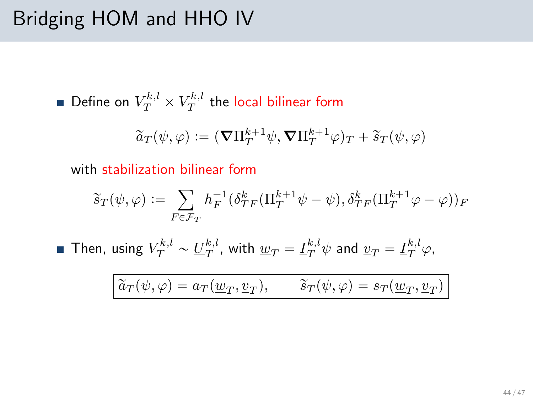# Bridging HOM and HHO IV

Define on  $V^{k,l}_T\times V^{k,l}_T$  the local bilinear form

$$
\widetilde{a}_T(\psi,\varphi) := (\boldsymbol{\nabla}\Pi_T^{k+1}\psi, \boldsymbol{\nabla}\Pi_T^{k+1}\varphi)_T + \widetilde{s}_T(\psi,\varphi)
$$

with stabilization bilinear form

$$
\widetilde{s}_T(\psi,\varphi) := \sum_{F \in \mathcal{F}_T} h_F^{-1} (\delta_{TF}^k (\Pi_T^{k+1} \psi - \psi), \delta_{TF}^k (\Pi_T^{k+1} \varphi - \varphi))_F
$$

Then, using  $V^{k,l}_T \sim \underline{U}^{k,l}_T$ , with  $\underline{w}_T = \underline{I}^{k,l}_T \psi$  and  $\underline{v}_T = \underline{I}^{k,l}_T \varphi$ ,

$$
\widetilde{a}_T(\psi, \varphi) = a_T(\underline{w}_T, \underline{v}_T), \qquad \widetilde{s}_T(\psi, \varphi) = s_T(\underline{w}_T, \underline{v}_T)
$$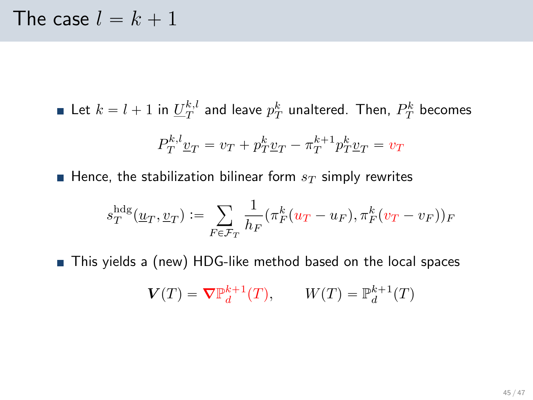Let  $k = l + 1$  in  $\underline{U}_T^{k,l}$  and leave  $p_T^k$  unaltered. Then,  $P_T^k$  becomes

$$
P_T^{k,l} \underline{v}_T = v_T + p_T^k \underline{v}_T - \pi_T^{k+1} p_T^k \underline{v}_T = v_T
$$

Hence, the stabilization bilinear form  $s_T$  simply rewrites

$$
s_T^{\text{hdg}}(\underline{u}_T, \underline{v}_T) := \sum_{F \in \mathcal{F}_T} \frac{1}{h_F} (\pi_F^k(u_T - u_F), \pi_F^k(v_T - v_F))_F
$$

■ This yields a (new) HDG-like method based on the local spaces

$$
\mathbf{V}(T) = \nabla \mathbb{P}_d^{k+1}(T), \qquad W(T) = \mathbb{P}_d^{k+1}(T)
$$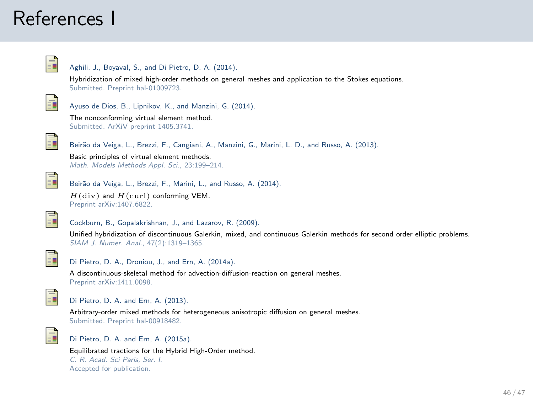#### References I



#### Aghili, J., Boyaval, S., and Di Pietro, D. A. (2014).

Hybridization of mixed high-order methods on general meshes and application to the Stokes equations. Submitted. Preprint [hal-01009723.](http://hal.archives-ouvertes.fr/hal-01009723)

<span id="page-45-3"></span>

Ayuso de Dios, B., Lipnikov, K., and Manzini, G. (2014).

The nonconforming virtual element method. Submitted. ArXiV preprint [1405.3741.](http://arxiv.org/abs/1405.3741)



Beirão da Veiga, L., Brezzi, F., Cangiani, A., Manzini, G., Marini, L. D., and Russo, A. (2013).

Basic principles of virtual element methods. Math. Models Methods Appl. Sci., 23:199–214.



Beirão da Veiga, L., Brezzi, F., Marini, L., and Russo, A. (2014).

 $H$ (div) and  $H$ (curl) conforming VEM. Preprint [arXiv:1407.6822.](http://arxiv.org/abs/1407.6822)

<span id="page-45-2"></span>

Cockburn, B., Gopalakrishnan, J., and Lazarov, R. (2009).

Unified hybridization of discontinuous Galerkin, mixed, and continuous Galerkin methods for second order elliptic problems. SIAM J. Numer. Anal., 47(2):1319–1365.



Di Pietro, D. A., Droniou, J., and Ern, A. (2014a).

A discontinuous-skeletal method for advection-diffusion-reaction on general meshes. Preprint [arXiv:1411.0098.](http://arxiv.org/abs/1411.0098)

<span id="page-45-1"></span>

#### Di Pietro, D. A. and Ern, A. (2013).

Arbitrary-order mixed methods for heterogeneous anisotropic diffusion on general meshes. Submitted. Preprint [hal-00918482.](http://hal.archives-ouvertes.fr/hal-00918482)

<span id="page-45-0"></span>

Di Pietro, D. A. and Ern, A. (2015a).

Equilibrated tractions for the Hybrid High-Order method. C. R. Acad. Sci Paris, Ser. I. Accepted for publication.